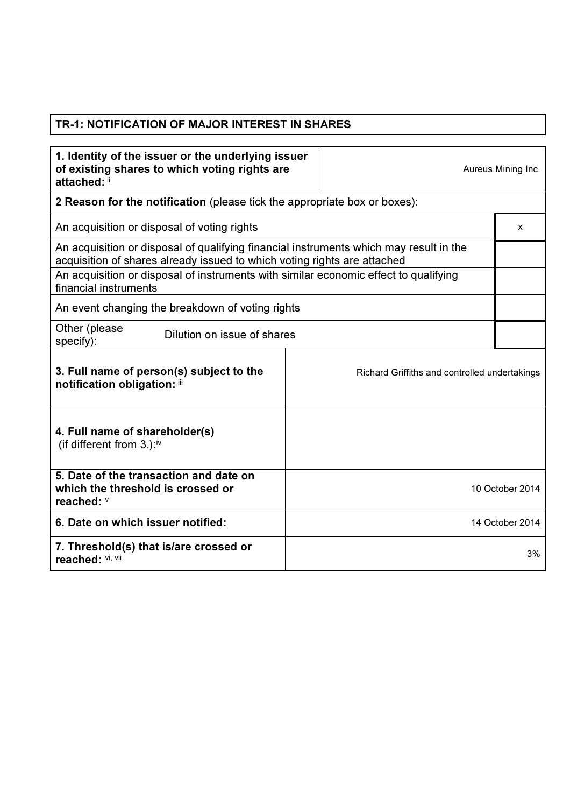## TR-1: NOTIFICATION OF MAJOR INTEREST IN SHARES

| 1. Identity of the issuer or the underlying issuer<br>of existing shares to which voting rights are<br>attached: ii                                                |  |                                               | Aureus Mining Inc. |
|--------------------------------------------------------------------------------------------------------------------------------------------------------------------|--|-----------------------------------------------|--------------------|
| <b>2 Reason for the notification</b> (please tick the appropriate box or boxes):                                                                                   |  |                                               |                    |
| An acquisition or disposal of voting rights                                                                                                                        |  |                                               | x                  |
| An acquisition or disposal of qualifying financial instruments which may result in the<br>acquisition of shares already issued to which voting rights are attached |  |                                               |                    |
| An acquisition or disposal of instruments with similar economic effect to qualifying<br>financial instruments                                                      |  |                                               |                    |
| An event changing the breakdown of voting rights                                                                                                                   |  |                                               |                    |
| Other (please<br>Dilution on issue of shares<br>specify):                                                                                                          |  |                                               |                    |
| 3. Full name of person(s) subject to the<br>notification obligation: iii                                                                                           |  | Richard Griffiths and controlled undertakings |                    |
| 4. Full name of shareholder(s)<br>(if different from $3.$ ): <sup>iv</sup>                                                                                         |  |                                               |                    |
| 5. Date of the transaction and date on<br>which the threshold is crossed or<br>reached: v                                                                          |  |                                               | 10 October 2014    |
| 6. Date on which issuer notified:                                                                                                                                  |  |                                               | 14 October 2014    |
| 7. Threshold(s) that is/are crossed or<br>reached: VI, VII                                                                                                         |  |                                               | 3%                 |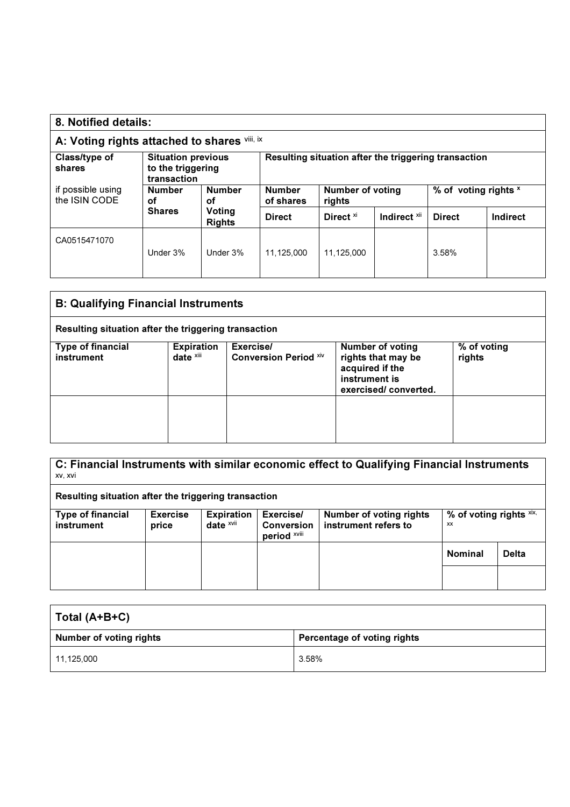| 8. Notified details:                                                                     |                            |                                                      |               |                      |                         |               |          |
|------------------------------------------------------------------------------------------|----------------------------|------------------------------------------------------|---------------|----------------------|-------------------------|---------------|----------|
| A: Voting rights attached to shares vill, ix                                             |                            |                                                      |               |                      |                         |               |          |
| Class/type of<br><b>Situation previous</b><br>to the triggering<br>shares<br>transaction |                            | Resulting situation after the triggering transaction |               |                      |                         |               |          |
| if possible using<br><b>Number</b><br><b>Number</b><br>the ISIN CODE<br>οf<br>οf         | <b>Number</b><br>of shares | <b>Number of voting</b><br>rights                    |               | % of voting rights x |                         |               |          |
|                                                                                          | <b>Shares</b>              | Voting<br><b>Rights</b>                              | <b>Direct</b> | Direct <sup>xi</sup> | Indirect <sup>xii</sup> | <b>Direct</b> | Indirect |
| CA0515471070                                                                             | Under 3%                   | Under 3%                                             | 11.125.000    | 11,125,000           |                         | 3.58%         |          |

| <b>B: Qualifying Financial Instruments</b>           |                                   |                                           |                                                                                                           |                       |
|------------------------------------------------------|-----------------------------------|-------------------------------------------|-----------------------------------------------------------------------------------------------------------|-----------------------|
| Resulting situation after the triggering transaction |                                   |                                           |                                                                                                           |                       |
| Type of financial<br>instrument                      | <b>Expiration</b><br>date $x$ iii | Exercise/<br><b>Conversion Period Xiv</b> | <b>Number of voting</b><br>rights that may be<br>acquired if the<br>instrument is<br>exercised/converted. | % of voting<br>rights |
|                                                      |                                   |                                           |                                                                                                           |                       |

C: Financial Instruments with similar economic effect to Qualifying Financial Instruments xv, xvi

Resulting situation after the triggering transaction

| <b>Type of financial</b><br>instrument | <b>Exercise</b><br>price | Expiration<br>date $x$ vii | Exercise/<br>Conversion<br>period XVIII | Number of voting rights<br>instrument refers to | % of voting rights $x$ ix,<br>XX |              |
|----------------------------------------|--------------------------|----------------------------|-----------------------------------------|-------------------------------------------------|----------------------------------|--------------|
|                                        |                          |                            |                                         |                                                 | <b>Nominal</b>                   | <b>Delta</b> |
|                                        |                          |                            |                                         |                                                 |                                  |              |

| Total (A+B+C)                  |                             |  |
|--------------------------------|-----------------------------|--|
| <b>Number of voting rights</b> | Percentage of voting rights |  |
| 11,125,000                     | 3.58%                       |  |